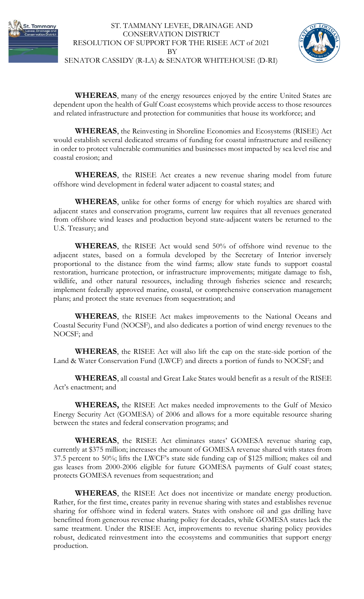



SENATOR CASSIDY (R-LA) & SENATOR WHITEHOUSE (D-RI)

**WHEREAS**, many of the energy resources enjoyed by the entire United States are dependent upon the health of Gulf Coast ecosystems which provide access to those resources and related infrastructure and protection for communities that house its workforce; and

**WHEREAS**, the Reinvesting in Shoreline Economies and Ecosystems (RISEE) Act would establish several dedicated streams of funding for coastal infrastructure and resiliency in order to protect vulnerable communities and businesses most impacted by sea level rise and coastal erosion; and

**WHEREAS**, the RISEE Act creates a new revenue sharing model from future offshore wind development in federal water adjacent to coastal states; and

**WHEREAS**, unlike for other forms of energy for which royalties are shared with adjacent states and conservation programs, current law requires that all revenues generated from offshore wind leases and production beyond state-adjacent waters be returned to the U.S. Treasury; and

**WHEREAS**, the RISEE Act would send 50% of offshore wind revenue to the adjacent states, based on a formula developed by the Secretary of Interior inversely proportional to the distance from the wind farms; allow state funds to support coastal restoration, hurricane protection, or infrastructure improvements; mitigate damage to fish, wildlife, and other natural resources, including through fisheries science and research; implement federally approved marine, coastal, or comprehensive conservation management plans; and protect the state revenues from sequestration; and

**WHEREAS**, the RISEE Act makes improvements to the National Oceans and Coastal Security Fund (NOCSF), and also dedicates a portion of wind energy revenues to the NOCSF; and

**WHEREAS**, the RISEE Act will also lift the cap on the state-side portion of the Land & Water Conservation Fund (LWCF) and directs a portion of funds to NOCSF; and

**WHEREAS**, all coastal and Great Lake States would benefit as a result of the RISEE Act's enactment; and

**WHEREAS,** the RISEE Act makes needed improvements to the Gulf of Mexico Energy Security Act (GOMESA) of 2006 and allows for a more equitable resource sharing between the states and federal conservation programs; and

**WHEREAS**, the RISEE Act eliminates states' GOMESA revenue sharing cap, currently at \$375 million; increases the amount of GOMESA revenue shared with states from 37.5 percent to 50%; lifts the LWCF's state side funding cap of \$125 million; makes oil and gas leases from 2000-2006 eligible for future GOMESA payments of Gulf coast states; protects GOMESA revenues from sequestration; and

**WHEREAS**, the RISEE Act does not incentivize or mandate energy production. Rather, for the first time, creates parity in revenue sharing with states and establishes revenue sharing for offshore wind in federal waters. States with onshore oil and gas drilling have benefitted from generous revenue sharing policy for decades, while GOMESA states lack the same treatment. Under the RISEE Act, improvements to revenue sharing policy provides robust, dedicated reinvestment into the ecosystems and communities that support energy production.